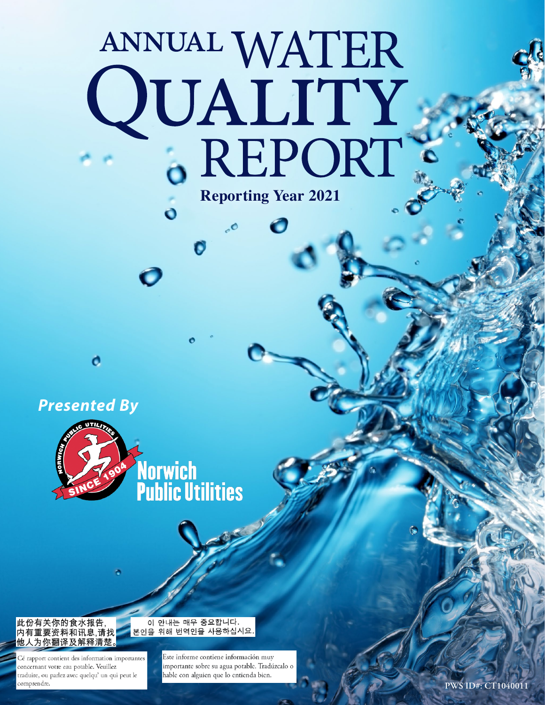# ANNUAL WATER<br>QUALITY<br>6 REPORT **Reporting Year 2021**

*Presented By*

o



**Norwich<br>Public Utilities** 



Cé rapport contient des information importantes concernant votre eau potable. Veuillez traduire, ou parlez avec quelqu'un qui peut le comprendre.

#### 이 안내는 매우 중요합니다. |본인을 위해 번역인을 사용하십시요.

Este informe contiene información muy importante sobre su agua potable. Tradúzcalo o hable con alguien que lo entienda bien.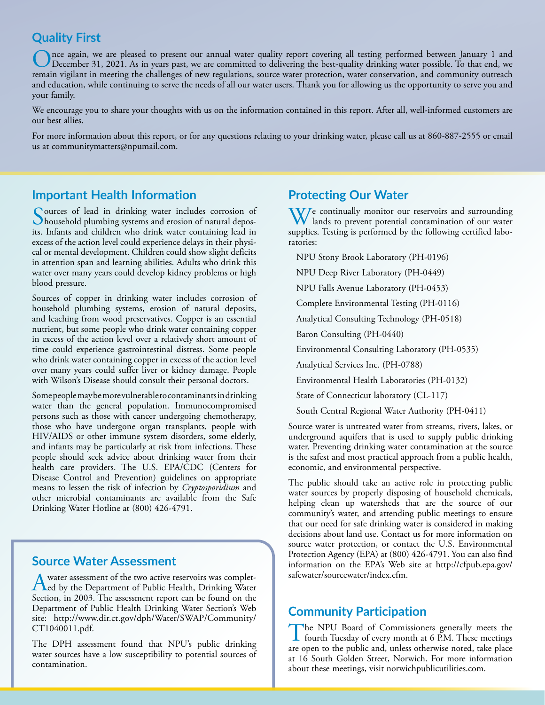### **Quality First**

nce again, we are pleased to present our annual water quality report covering all testing performed between January 1 and December 31, 2021. As in years past, we are committed to delivering the best-quality drinking water possible. To that end, we remain vigilant in meeting the challenges of new regulations, source water protection, water conservation, and community outreach and education, while continuing to serve the needs of all our water users. Thank you for allowing us the opportunity to serve you and your family.

We encourage you to share your thoughts with us on the information contained in this report. After all, well-informed customers are our best allies.

For more information about this report, or for any questions relating to your drinking water, please call us at 860-887-2555 or email us at communitymatters@npumail.com.

# **Important Health Information**

Sources of lead in drinking water includes corrosion of<br>household plumbing systems and erosion of natural depos-<br>its Jafants and children who drink water contributes lead in its. Infants and children who drink water containing lead in excess of the action level could experience delays in their physical or mental development. Children could show slight deficits in attention span and learning abilities. Adults who drink this water over many years could develop kidney problems or high blood pressure.

Sources of copper in drinking water includes corrosion of household plumbing systems, erosion of natural deposits, and leaching from wood preservatives. Copper is an essential nutrient, but some people who drink water containing copper in excess of the action level over a relatively short amount of time could experience gastrointestinal distress. Some people who drink water containing copper in excess of the action level over many years could suffer liver or kidney damage. People with Wilson's Disease should consult their personal doctors.

Some people may be more vulnerable to contaminants in drinking water than the general population. Immunocompromised persons such as those with cancer undergoing chemotherapy, those who have undergone organ transplants, people with HIV/AIDS or other immune system disorders, some elderly, and infants may be particularly at risk from infections. These people should seek advice about drinking water from their health care providers. The U.S. EPA/CDC (Centers for Disease Control and Prevention) guidelines on appropriate means to lessen the risk of infection by *Cryptosporidium* and other microbial contaminants are available from the Safe Drinking Water Hotline at (800) 426-4791.

# **Source Water Assessment**

A water assessment of the two active reservoirs was complet-<br>Led by the Department of Public Health, Drinking Water Section, in 2003. The assessment report can be found on the Department of Public Health Drinking Water Section's Web site: http://www.dir.ct.gov/dph/Water/SWAP/Community/ CT1040011.pdf.

The DPH assessment found that NPU's public drinking water sources have a low susceptibility to potential sources of contamination.

# **Protecting Our Water**

We continually monitor our reservoirs and surrounding<br>lands to prevent potential contamination of our water supplies. Testing is performed by the following certified laboratories:

NPU Stony Brook Laboratory (PH-0196)

NPU Deep River Laboratory (PH-0449)

NPU Falls Avenue Laboratory (PH-0453)

Complete Environmental Testing (PH-0116)

Analytical Consulting Technology (PH-0518)

Baron Consulting (PH-0440)

Environmental Consulting Laboratory (PH-0535)

Analytical Services Inc. (PH-0788)

Environmental Health Laboratories (PH-0132)

State of Connecticut laboratory (CL-117)

South Central Regional Water Authority (PH-0411)

Source water is untreated water from streams, rivers, lakes, or underground aquifers that is used to supply public drinking water. Preventing drinking water contamination at the source is the safest and most practical approach from a public health, economic, and environmental perspective.

The public should take an active role in protecting public water sources by properly disposing of household chemicals, helping clean up watersheds that are the source of our community's water, and attending public meetings to ensure that our need for safe drinking water is considered in making decisions about land use. Contact us for more information on source water protection, or contact the U.S. Environmental Protection Agency (EPA) at (800) 426-4791. You can also find information on the EPA's Web site at http://cfpub.epa.gov/ safewater/sourcewater/index.cfm.

#### **Community Participation**

The NPU Board of Commissioners generally meets the fourth Tuesday of every month at 6 P.M. These meetings are open to the public and, unless otherwise noted, take place at 16 South Golden Street, Norwich. For more information about these meetings, visit norwichpublicutilities.com.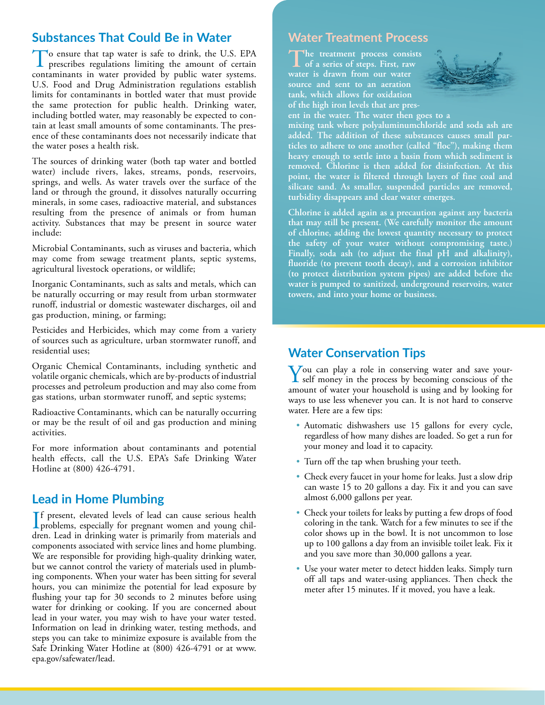#### **Substances That Could Be in Water**

To ensure that tap water is safe to drink, the U.S. EPA prescribes regulations limiting the amount of certain contaminants in water provided by public water systems. U.S. Food and Drug Administration regulations establish limits for contaminants in bottled water that must provide the same protection for public health. Drinking water, including bottled water, may reasonably be expected to contain at least small amounts of some contaminants. The presence of these contaminants does not necessarily indicate that the water poses a health risk.

The sources of drinking water (both tap water and bottled water) include rivers, lakes, streams, ponds, reservoirs, springs, and wells. As water travels over the surface of the land or through the ground, it dissolves naturally occurring minerals, in some cases, radioactive material, and substances resulting from the presence of animals or from human activity. Substances that may be present in source water include:

Microbial Contaminants, such as viruses and bacteria, which may come from sewage treatment plants, septic systems, agricultural livestock operations, or wildlife;

Inorganic Contaminants, such as salts and metals, which can be naturally occurring or may result from urban stormwater runoff, industrial or domestic wastewater discharges, oil and gas production, mining, or farming;

Pesticides and Herbicides, which may come from a variety of sources such as agriculture, urban stormwater runoff, and residential uses;

Organic Chemical Contaminants, including synthetic and volatile organic chemicals, which are by-products of industrial processes and petroleum production and may also come from gas stations, urban stormwater runoff, and septic systems;

Radioactive Contaminants, which can be naturally occurring or may be the result of oil and gas production and mining activities.

For more information about contaminants and potential health effects, call the U.S. EPA's Safe Drinking Water Hotline at (800) 426-4791.

# **Lead in Home Plumbing**

If present, elevated levels of lead can cause serious health<br>problems, especially for pregnant women and young chil-<br>draw Lead in drinking wave is grimarily from materials and problems, especially for pregnant women and young children. Lead in drinking water is primarily from materials and components associated with service lines and home plumbing. We are responsible for providing high-quality drinking water, but we cannot control the variety of materials used in plumbing components. When your water has been sitting for several hours, you can minimize the potential for lead exposure by flushing your tap for 30 seconds to 2 minutes before using water for drinking or cooking. If you are concerned about lead in your water, you may wish to have your water tested. Information on lead in drinking water, testing methods, and steps you can take to minimize exposure is available from the Safe Drinking Water Hotline at (800) 426-4791 or at www. epa.gov/safewater/lead.

#### **Water Treatment Process**

The treatment process consists **of a series of steps. First, raw water is drawn from our water source and sent to an aeration tank, which allows for oxidation of the high iron levels that are pres-**



**ent in the water. The water then goes to a** 

**mixing tank where polyaluminumchloride and soda ash are added. The addition of these substances causes small particles to adhere to one another (called "floc"), making them heavy enough to settle into a basin from which sediment is removed. Chlorine is then added for disinfection. At this point, the water is filtered through layers of fine coal and silicate sand. As smaller, suspended particles are removed, turbidity disappears and clear water emerges.**

**Chlorine is added again as a precaution against any bacteria that may still be present. (We carefully monitor the amount of chlorine, adding the lowest quantity necessary to protect the safety of your water without compromising taste.) Finally, soda ash (to adjust the final pH and alkalinity), fluoride (to prevent tooth decay), and a corrosion inhibitor (to protect distribution system pipes) are added before the water is pumped to sanitized, underground reservoirs, water towers, and into your home or business.**

# **Water Conservation Tips**

You can play a role in conserving water and save your-self money in the process by becoming conscious of the amount of water your household is using and by looking for ways to use less whenever you can. It is not hard to conserve water. Here are a few tips:

- Automatic dishwashers use 15 gallons for every cycle, regardless of how many dishes are loaded. So get a run for your money and load it to capacity.
- Turn off the tap when brushing your teeth.
- Check every faucet in your home for leaks. Just a slow drip can waste 15 to 20 gallons a day. Fix it and you can save almost 6,000 gallons per year.
- Check your toilets for leaks by putting a few drops of food coloring in the tank. Watch for a few minutes to see if the color shows up in the bowl. It is not uncommon to lose up to 100 gallons a day from an invisible toilet leak. Fix it and you save more than 30,000 gallons a year.
- Use your water meter to detect hidden leaks. Simply turn off all taps and water-using appliances. Then check the meter after 15 minutes. If it moved, you have a leak.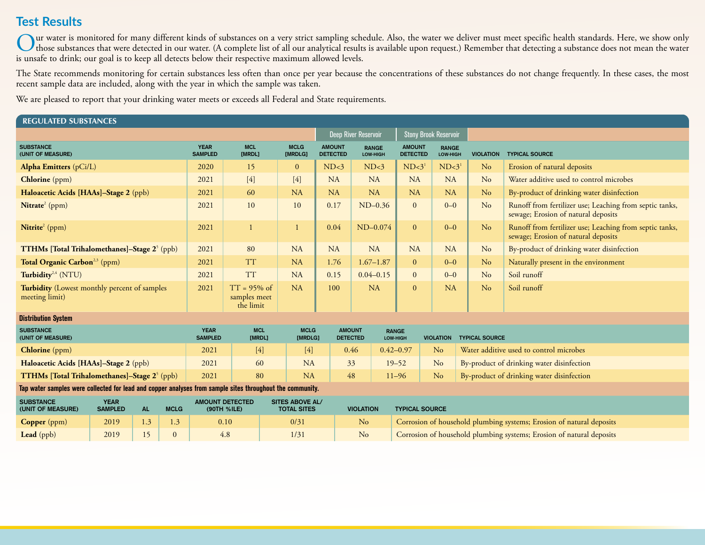# **Test Results**

Our water is monitored for many different kinds of substances on a very strict sampling schedule. Also, the water we deliver must meet specific health standards. Here, we show only<br>those substances that were detected in ou is unsafe to drink; our goal is to keep all detects below their respective maximum allowed levels.

The State recommends monitoring for certain substances less often than once per year because the concentrations of these substances do not change frequently. In these cases, the most recent sample data are included, along with the year in which the sample was taken.

We are pleased to report that your drinking water meets or exceeds all Federal and State requirements.

| <b>REGULATED SUBSTANCES</b>                                                                               |      |                                       |                                              |                                             |                      |                        |                                  |                                  |                          |                                  |                              |                           |                                           |                                                                                                |
|-----------------------------------------------------------------------------------------------------------|------|---------------------------------------|----------------------------------------------|---------------------------------------------|----------------------|------------------------|----------------------------------|----------------------------------|--------------------------|----------------------------------|------------------------------|---------------------------|-------------------------------------------|------------------------------------------------------------------------------------------------|
|                                                                                                           |      |                                       |                                              |                                             |                      |                        |                                  | Deep River Reservoir             |                          |                                  | <b>Stony Brook Reservoir</b> |                           |                                           |                                                                                                |
| <b>SUBSTANCE</b><br>(UNIT OF MEASURE)                                                                     |      |                                       |                                              | <b>YEAR</b><br><b>SAMPLED</b>               | <b>MCL</b><br>[MRDL] | <b>MCLG</b><br>[MRDLG] |                                  | <b>AMOUNT</b><br><b>DETECTED</b> | <b>RANGE</b><br>LOW-HIGH | <b>AMOUNT</b><br><b>DETECTED</b> |                              | <b>RANGE</b><br>LOW-HIGH  | <b>VIOLATION</b>                          | <b>TYPICAL SOURCE</b>                                                                          |
| <b>Alpha Emitters</b> (pCi/L)                                                                             |      |                                       |                                              | 2020                                        | 15                   | $\mathbf{0}$           |                                  | ND<3                             | ND<3                     | $ND<3$ <sup>1</sup>              |                              | ND<3                      | N <sub>o</sub>                            | Erosion of natural deposits                                                                    |
| Chlorine (ppm)                                                                                            |      |                                       |                                              | 2021                                        | $[4]$                | $[4]$                  |                                  | <b>NA</b>                        | <b>NA</b>                | <b>NA</b>                        |                              | NA                        | No                                        | Water additive used to control microbes                                                        |
| Haloacetic Acids [HAAs]-Stage 2 (ppb)                                                                     |      |                                       | 2021                                         | 60                                          | NA                   |                        | NA                               | <b>NA</b>                        | NA                       |                                  | NA                           | No                        | By-product of drinking water disinfection |                                                                                                |
| Nitrate <sup>2</sup> (ppm)                                                                                |      |                                       |                                              | 2021                                        | 10                   | 10                     |                                  | 0.17                             | $ND-0.36$                | $\mathbf{0}$                     |                              | $0 - 0$<br>N <sub>o</sub> |                                           | Runoff from fertilizer use; Leaching from septic tanks,<br>sewage; Erosion of natural deposits |
| Nitrite <sup>2</sup> (ppm)                                                                                |      |                                       |                                              | 2021                                        |                      | -1                     |                                  | 0.04                             | $ND-0.074$               | $\overline{0}$                   |                              | $0 - 0$                   | No                                        | Runoff from fertilizer use; Leaching from septic tanks,<br>sewage; Erosion of natural deposits |
| <b>TTHMs [Total Trihalomethanes]-Stage 2<sup>5</sup> (ppb)</b>                                            |      |                                       |                                              | 2021                                        | 80                   | <b>NA</b>              |                                  | <b>NA</b>                        | <b>NA</b>                | <b>NA</b>                        |                              | NA                        | No                                        | By-product of drinking water disinfection                                                      |
| Total Organic Carbon <sup>2,3</sup> (ppm)                                                                 |      |                                       |                                              | 2021                                        | <b>TT</b>            | <b>NA</b>              |                                  | 1.76                             | $1.67 - 1.87$            | $\mathbf{0}$                     |                              | $0 - 0$                   | N <sub>o</sub>                            | Naturally present in the environment                                                           |
| Turbidity <sup>2,4</sup> (NTU)                                                                            |      |                                       |                                              | 2021                                        | <b>TT</b>            | <b>NA</b>              |                                  | 0.15                             | $0.04 - 0.15$            | $\mathbf{0}$                     |                              | $0 - 0$                   | N <sub>o</sub>                            | Soil runoff                                                                                    |
| Turbidity (Lowest monthly percent of samples<br>meeting limit)                                            |      |                                       | 2021                                         | $TT = 95\%$ of<br>samples meet<br>the limit | <b>NA</b>            |                        | 100                              | <b>NA</b>                        | $\mathbf{0}$             |                                  | NA                           | No                        | Soil runoff                               |                                                                                                |
| <b>Distribution System</b>                                                                                |      |                                       |                                              |                                             |                      |                        |                                  |                                  |                          |                                  |                              |                           |                                           |                                                                                                |
| <b>SUBSTANCE</b><br>(UNIT OF MEASURE)                                                                     |      |                                       | <b>YEAR</b><br><b>SAMPLED</b>                | <b>MCL</b><br>[MRDL]                        |                      | <b>MCLG</b><br>[MRDLG] | <b>AMOUNT</b><br><b>DETECTED</b> |                                  | <b>RANGE</b><br>LOW-HIGH | <b>VIOLATION</b>                 |                              | <b>TYPICAL SOURCE</b>     |                                           |                                                                                                |
| <b>Chlorine</b> (ppm)                                                                                     |      |                                       | 2021                                         | $[4]$                                       |                      | $[4]$                  | 0.46                             |                                  | $0.42 - 0.97$            | N <sub>o</sub>                   |                              |                           | Water additive used to control microbes   |                                                                                                |
| Haloacetic Acids [HAAs]-Stage 2 (ppb)                                                                     |      |                                       |                                              | 2021                                        | 60                   |                        | <b>NA</b>                        | 33                               |                          | $19 - 52$                        | N <sub>o</sub>               |                           | By-product of drinking water disinfection |                                                                                                |
| TTHMs [Total Trihalomethanes]-Stage 2 <sup>5</sup> (ppb)                                                  |      |                                       |                                              | 2021                                        | 80                   |                        | <b>NA</b>                        | 48                               |                          | $11 - 96$                        | N <sub>o</sub>               |                           |                                           | By-product of drinking water disinfection                                                      |
| Tap water samples were collected for lead and copper analyses from sample sites throughout the community. |      |                                       |                                              |                                             |                      |                        |                                  |                                  |                          |                                  |                              |                           |                                           |                                                                                                |
| <b>SUBSTANCE</b><br><b>YEAR</b><br><b>AL</b><br><b>SAMPLED</b><br><b>MCLG</b><br>(UNIT OF MEASURE)        |      | <b>AMOUNT DETECTED</b><br>(90TH %ILE) | <b>SITES ABOVE AL/</b><br><b>TOTAL SITES</b> |                                             |                      | <b>VIOLATION</b>       |                                  | <b>TYPICAL SOURCE</b>            |                          |                                  |                              |                           |                                           |                                                                                                |
| <b>Copper</b> (ppm)                                                                                       | 2019 | 1.3                                   | 1.3                                          |                                             | 0.10                 | 0/31                   |                                  |                                  | No                       |                                  |                              |                           |                                           | Corrosion of household plumbing systems; Erosion of natural deposits                           |

**Lead** (ppb) 2019 15 0 4.8 1/31 No Corrosion of household plumbing systems; Erosion of natural deposits